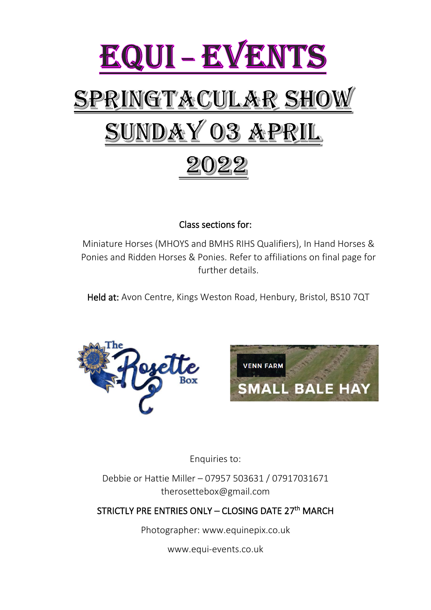

Class sections for:

Miniature Horses (MHOYS and BMHS RIHS Qualifiers), In Hand Horses & Ponies and Ridden Horses & Ponies. Refer to affiliations on final page for further details.

Held at: Avon Centre, Kings Weston Road, Henbury, Bristol, BS10 7QT





Enquiries to:

Debbie or Hattie Miller – 07957 503631 / 07917031671 therosettebox@gmail.com

### STRICTLY PRE ENTRIES ONLY - CLOSING DATE 27<sup>th</sup> MARCH

Photographer: www.equinepix.co.uk

www.equi-events.co.uk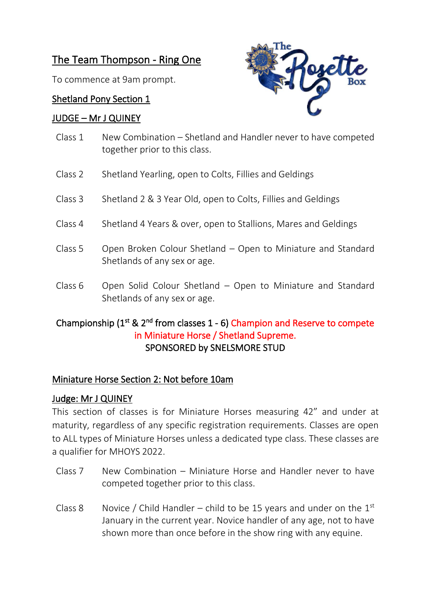## The Team Thompson - Ring One

To commence at 9am prompt.

### Shetland Pony Section 1

### JUDGE – Mr J QUINEY



- Class 1 New Combination Shetland and Handler never to have competed together prior to this class.
- Class 2 Shetland Yearling, open to Colts, Fillies and Geldings
- Class 3 Shetland 2 & 3 Year Old, open to Colts, Fillies and Geldings
- Class 4 Shetland 4 Years & over, open to Stallions, Mares and Geldings
- Class 5 Open Broken Colour Shetland Open to Miniature and Standard Shetlands of any sex or age.
- Class 6 Open Solid Colour Shetland Open to Miniature and Standard Shetlands of any sex or age.

### Championship  $(1^{st} 8 \nvert 2^{nd} \text{ from classes } 1 - 6)$  Champion and Reserve to compete in Miniature Horse / Shetland Supreme. SPONSORED by SNELSMORE STUD

### Miniature Horse Section 2: Not before 10am

### Judge: Mr J QUINEY

This section of classes is for Miniature Horses measuring 42" and under at maturity, regardless of any specific registration requirements. Classes are open to ALL types of Miniature Horses unless a dedicated type class. These classes are a qualifier for MHOYS 2022.

- Class 7 New Combination Miniature Horse and Handler never to have competed together prior to this class.
- Class 8 Novice / Child Handler child to be 15 years and under on the  $1<sup>st</sup>$ January in the current year. Novice handler of any age, not to have shown more than once before in the show ring with any equine.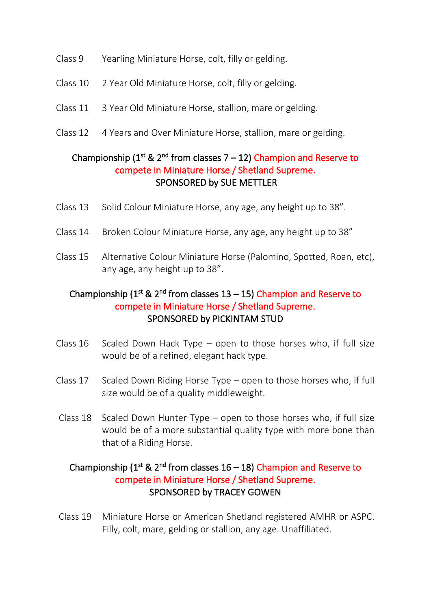- Class 9 Yearling Miniature Horse, colt, filly or gelding.
- Class 10 2 Year Old Miniature Horse, colt, filly or gelding.
- Class 11 3 Year Old Miniature Horse, stallion, mare or gelding.
- Class 12 4 Years and Over Miniature Horse, stallion, mare or gelding.

### Championship ( $1<sup>st</sup>$  &  $2<sup>nd</sup>$  from classes 7 – 12) Champion and Reserve to compete in Miniature Horse / Shetland Supreme. SPONSORED by SUE METTLER

- Class 13 Solid Colour Miniature Horse, any age, any height up to 38".
- Class 14 Broken Colour Miniature Horse, any age, any height up to 38"
- Class 15 Alternative Colour Miniature Horse (Palomino, Spotted, Roan, etc), any age, any height up to 38".

### Championship  $(1^{st} \& 2^{nd}$  from classes  $13 - 15)$  Champion and Reserve to compete in Miniature Horse / Shetland Supreme. SPONSORED by PICKINTAM STUD

- Class  $16$  Scaled Down Hack Type open to those horses who, if full size would be of a refined, elegant hack type.
- Class 17 Scaled Down Riding Horse Type open to those horses who, if full size would be of a quality middleweight.
- Class 18 Scaled Down Hunter Type open to those horses who, if full size would be of a more substantial quality type with more bone than that of a Riding Horse.

### Championship ( $1<sup>st</sup>$  &  $2<sup>nd</sup>$  from classes  $16 - 18$ ) Champion and Reserve to compete in Miniature Horse / Shetland Supreme. SPONSORED by TRACEY GOWEN

Class 19 Miniature Horse or American Shetland registered AMHR or ASPC. Filly, colt, mare, gelding or stallion, any age. Unaffiliated.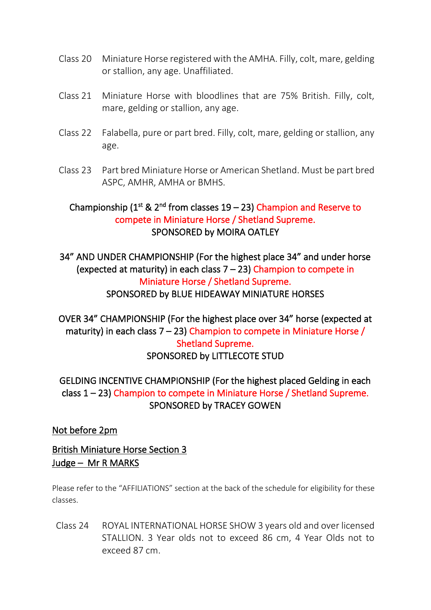- Class 20 Miniature Horse registered with the AMHA. Filly, colt, mare, gelding or stallion, any age. Unaffiliated.
- Class 21 Miniature Horse with bloodlines that are 75% British. Filly, colt, mare, gelding or stallion, any age.
- Class 22 Falabella, pure or part bred. Filly, colt, mare, gelding or stallion, any age.
- Class 23 Part bred Miniature Horse or American Shetland. Must be part bred ASPC, AMHR, AMHA or BMHS.

### Championship  $(1^{st} \& 2^{nd}$  from classes  $19 - 23$ ) Champion and Reserve to compete in Miniature Horse / Shetland Supreme. SPONSORED by MOIRA OATLEY

34" AND UNDER CHAMPIONSHIP (For the highest place 34" and under horse (expected at maturity) in each class 7 – 23) Champion to compete in Miniature Horse / Shetland Supreme. SPONSORED by BLUE HIDEAWAY MINIATURE HORSES

OVER 34" CHAMPIONSHIP (For the highest place over 34" horse (expected at maturity) in each class  $7 - 23$ ) Champion to compete in Miniature Horse / Shetland Supreme. SPONSORED by LITTLECOTE STUD

GELDING INCENTIVE CHAMPIONSHIP (For the highest placed Gelding in each class 1 – 23) Champion to compete in Miniature Horse / Shetland Supreme. SPONSORED by TRACEY GOWEN

Not before 2pm

British Miniature Horse Section 3 Judge – Mr R MARKS

Please refer to the "AFFILIATIONS" section at the back of the schedule for eligibility for these classes.

Class 24 ROYAL INTERNATIONAL HORSE SHOW 3 years old and over licensed STALLION. 3 Year olds not to exceed 86 cm, 4 Year Olds not to exceed 87 cm.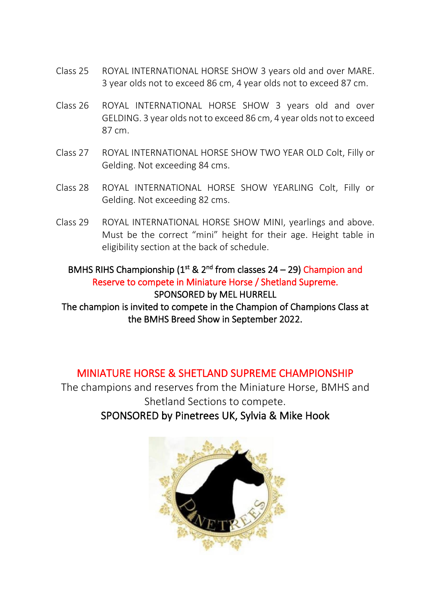- Class 25 ROYAL INTERNATIONAL HORSE SHOW 3 years old and over MARE. 3 year olds not to exceed 86 cm, 4 year olds not to exceed 87 cm.
- Class 26 ROYAL INTERNATIONAL HORSE SHOW 3 years old and over GELDING. 3 year olds not to exceed 86 cm, 4 year olds not to exceed 87 cm.
- Class 27 ROYAL INTERNATIONAL HORSE SHOW TWO YEAR OLD Colt, Filly or Gelding. Not exceeding 84 cms.
- Class 28 ROYAL INTERNATIONAL HORSE SHOW YEARLING Colt, Filly or Gelding. Not exceeding 82 cms.
- Class 29 ROYAL INTERNATIONAL HORSE SHOW MINI, yearlings and above. Must be the correct "mini" height for their age. Height table in eligibility section at the back of schedule.

### BMHS RIHS Championship ( $1<sup>st</sup>$  &  $2<sup>nd</sup>$  from classes 24 – 29) Champion and Reserve to compete in Miniature Horse / Shetland Supreme. SPONSORED by MEL HURRELL

The champion is invited to compete in the Champion of Champions Class at the BMHS Breed Show in September 2022.

## MINIATURE HORSE & SHETLAND SUPREME CHAMPIONSHIP

The champions and reserves from the Miniature Horse, BMHS and Shetland Sections to compete. SPONSORED by Pinetrees UK, Sylvia & Mike Hook

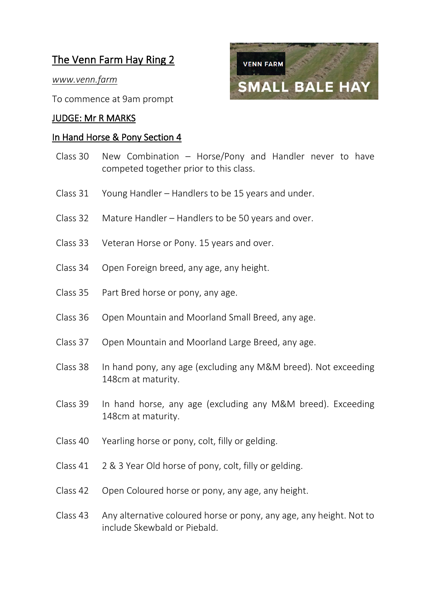## The Venn Farm Hay Ring 2

*www.venn.farm*

To commence at 9am prompt

#### JUDGE: Mr R MARKS

#### In Hand Horse & Pony Section 4

- Class 30 New Combination Horse/Pony and Handler never to have competed together prior to this class.
- Class 31 Young Handler Handlers to be 15 years and under.
- Class 32 Mature Handler Handlers to be 50 years and over.
- Class 33 Veteran Horse or Pony. 15 years and over.
- Class 34 Open Foreign breed, any age, any height.
- Class 35 Part Bred horse or pony, any age.
- Class 36 Open Mountain and Moorland Small Breed, any age.
- Class 37 Open Mountain and Moorland Large Breed, any age.
- Class 38 In hand pony, any age (excluding any M&M breed). Not exceeding 148cm at maturity.
- Class 39 In hand horse, any age (excluding any M&M breed). Exceeding 148cm at maturity.
- Class 40 Yearling horse or pony, colt, filly or gelding.
- Class 41 2 & 3 Year Old horse of pony, colt, filly or gelding.
- Class 42 Open Coloured horse or pony, any age, any height.
- Class 43 Any alternative coloured horse or pony, any age, any height. Not to include Skewbald or Piebald.

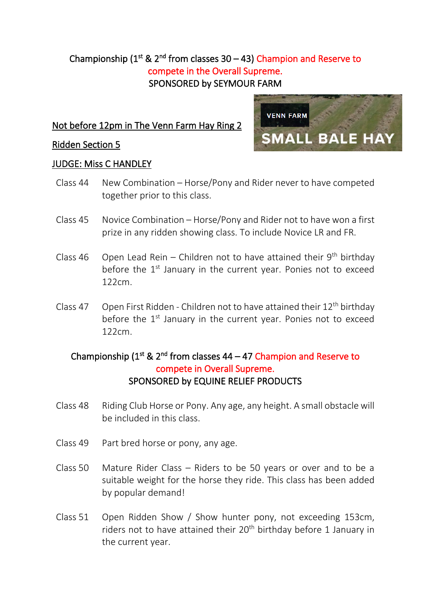### Championship  $(1^{st} \& 2^{nd}$  from classes  $30 - 43$ ) Champion and Reserve to compete in the Overall Supreme. SPONSORED by SEYMOUR FARM

### Not before 12pm in The Venn Farm Hay Ring 2

#### Ridden Section 5



#### JUDGE: Miss C HANDLEY

- Class 44 New Combination Horse/Pony and Rider never to have competed together prior to this class.
- Class 45 Novice Combination Horse/Pony and Rider not to have won a first prize in any ridden showing class. To include Novice LR and FR.
- Class 46 Open Lead Rein Children not to have attained their  $9^{th}$  birthday before the  $1<sup>st</sup>$  January in the current year. Ponies not to exceed 122cm.
- Class 47 Open First Ridden Children not to have attained their  $12<sup>th</sup>$  birthday before the  $1<sup>st</sup>$  January in the current year. Ponies not to exceed 122cm.

### Championship ( $1<sup>st</sup>$  &  $2<sup>nd</sup>$  from classes 44 – 47 Champion and Reserve to compete in Overall Supreme. SPONSORED by EQUINE RELIEF PRODUCTS

- Class 48 Riding Club Horse or Pony. Any age, any height. A small obstacle will be included in this class.
- Class 49 Part bred horse or pony, any age.
- Class 50 Mature Rider Class Riders to be 50 years or over and to be a suitable weight for the horse they ride. This class has been added by popular demand!
- Class 51 Open Ridden Show / Show hunter pony, not exceeding 153cm, riders not to have attained their 20<sup>th</sup> birthday before 1 January in the current year.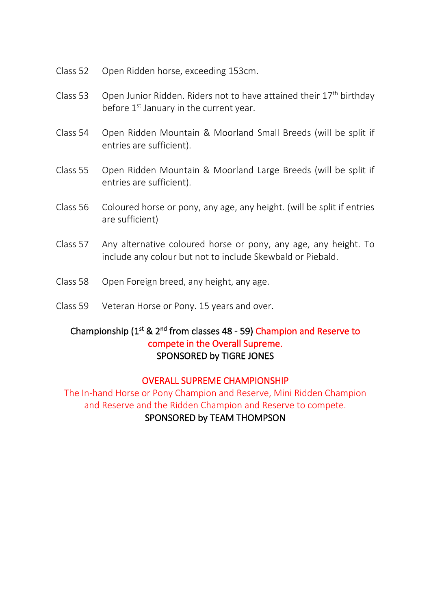- Class 52 Open Ridden horse, exceeding 153cm.
- Class 53 Open Junior Ridden. Riders not to have attained their 17th birthday before  $1<sup>st</sup>$  January in the current year.
- Class 54 Open Ridden Mountain & Moorland Small Breeds (will be split if entries are sufficient).
- Class 55 Open Ridden Mountain & Moorland Large Breeds (will be split if entries are sufficient).
- Class 56 Coloured horse or pony, any age, any height. (will be split if entries are sufficient)
- Class 57 Any alternative coloured horse or pony, any age, any height. To include any colour but not to include Skewbald or Piebald.
- Class 58 Open Foreign breed, any height, any age.
- Class 59 Veteran Horse or Pony. 15 years and over.

### Championship (1<sup>st</sup> & 2<sup>nd</sup> from classes 48 - 59) Champion and Reserve to compete in the Overall Supreme. SPONSORED by TIGRE JONES

#### OVERALL SUPREME CHAMPIONSHIP

The In-hand Horse or Pony Champion and Reserve, Mini Ridden Champion and Reserve and the Ridden Champion and Reserve to compete. SPONSORED by TEAM THOMPSON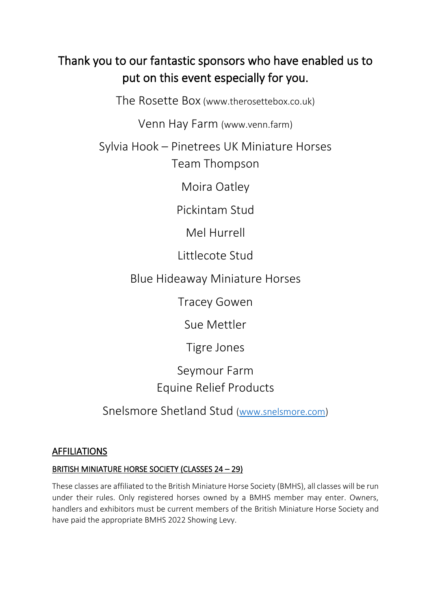# Thank you to our fantastic sponsors who have enabled us to put on this event especially for you.

The Rosette Box (www.therosettebox.co.uk)

Venn Hay Farm (www.venn.farm)

Sylvia Hook – Pinetrees UK Miniature Horses Team Thompson

Moira Oatley

Pickintam Stud

Mel Hurrell

Littlecote Stud

Blue Hideaway Miniature Horses

Tracey Gowen

Sue Mettler

Tigre Jones

Seymour Farm Equine Relief Products

Snelsmore Shetland Stud [\(www.snelsmore.com\)](http://www.snelsmore.com/)

### AFFILIATIONS

### BRITISH MINIATURE HORSE SOCIETY (CLASSES 24 – 29)

These classes are affiliated to the British Miniature Horse Society (BMHS), all classes will be run under their rules. Only registered horses owned by a BMHS member may enter. Owners, handlers and exhibitors must be current members of the British Miniature Horse Society and have paid the appropriate BMHS 2022 Showing Levy.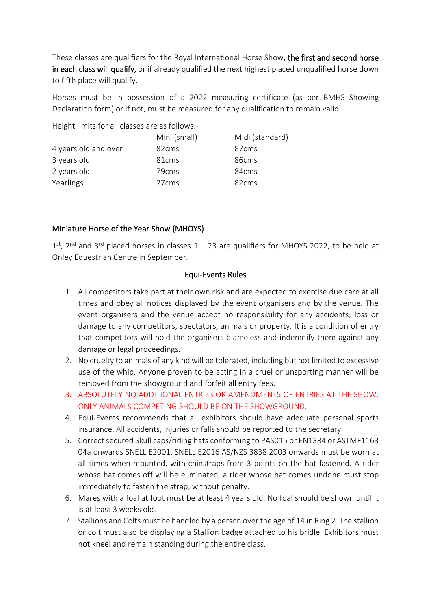These classes are qualifiers for the Royal International Horse Show, the first and second horse in each class will qualify, or if already qualified the next highest placed unqualified horse down to fifth place will qualify.

Horses must be in possession of a 2022 measuring certificate (as per BMHS Showing Declaration form) or if not, must be measured for any qualification to remain valid.

Height limits for all classes are as follows:-

|                      | Mini (small)      | Midi (standard)   |
|----------------------|-------------------|-------------------|
| 4 years old and over | 82 <sub>cms</sub> | 87 <sub>cms</sub> |
| 3 years old          | 81 <sub>cms</sub> | 86cms             |
| 2 years old          | 79 <sub>cms</sub> | 84 <sub>cms</sub> |
| Yearlings            | 77 <sub>cms</sub> | 82 <sub>cms</sub> |

#### Miniature Horse of the Year Show (MHOYS)

 $1<sup>st</sup>$ , 2<sup>nd</sup> and 3<sup>rd</sup> placed horses in classes  $1 - 23$  are qualifiers for MHOYS 2022, to be held at Onley Equestrian Centre in September.

#### Equi-Events Rules

- 1. All competitors take part at their own risk and are expected to exercise due care at all times and obey all notices displayed by the event organisers and by the venue. The event organisers and the venue accept no responsibility for any accidents, loss or damage to any competitors, spectators, animals or property. It is a condition of entry that competitors will hold the organisers blameless and indemnify them against any damage or legal proceedings.
- 2. No cruelty to animals of any kind will be tolerated, including but not limited to excessive use of the whip. Anyone proven to be acting in a cruel or unsporting manner will be removed from the showground and forfeit all entry fees.
- 3. ABSOLUTELY NO ADDITIONAL ENTRIES OR AMENDMENTS OF ENTRIES AT THE SHOW. ONLY ANIMALS COMPETING SHOULD BE ON THE SHOWGROUND.
- 4. Equi-Events recommends that all exhibitors should have adequate personal sports insurance. All accidents, injuries or falls should be reported to the secretary.
- 5. Correct secured Skull caps/riding hats conforming to PAS015 or EN1384 or ASTMF1163 04a onwards SNELL E2001, SNELL E2016 AS/NZS 3838 2003 onwards must be worn at all times when mounted, with chinstraps from 3 points on the hat fastened. A rider whose hat comes off will be eliminated, a rider whose hat comes undone must stop immediately to fasten the strap, without penalty.
- 6. Mares with a foal at foot must be at least 4 years old. No foal should be shown until it is at least 3 weeks old.
- 7. Stallions and Colts must be handled by a person over the age of 14 in Ring 2. The stallion or colt must also be displaying a Stallion badge attached to his bridle. Exhibitors must not kneel and remain standing during the entire class.